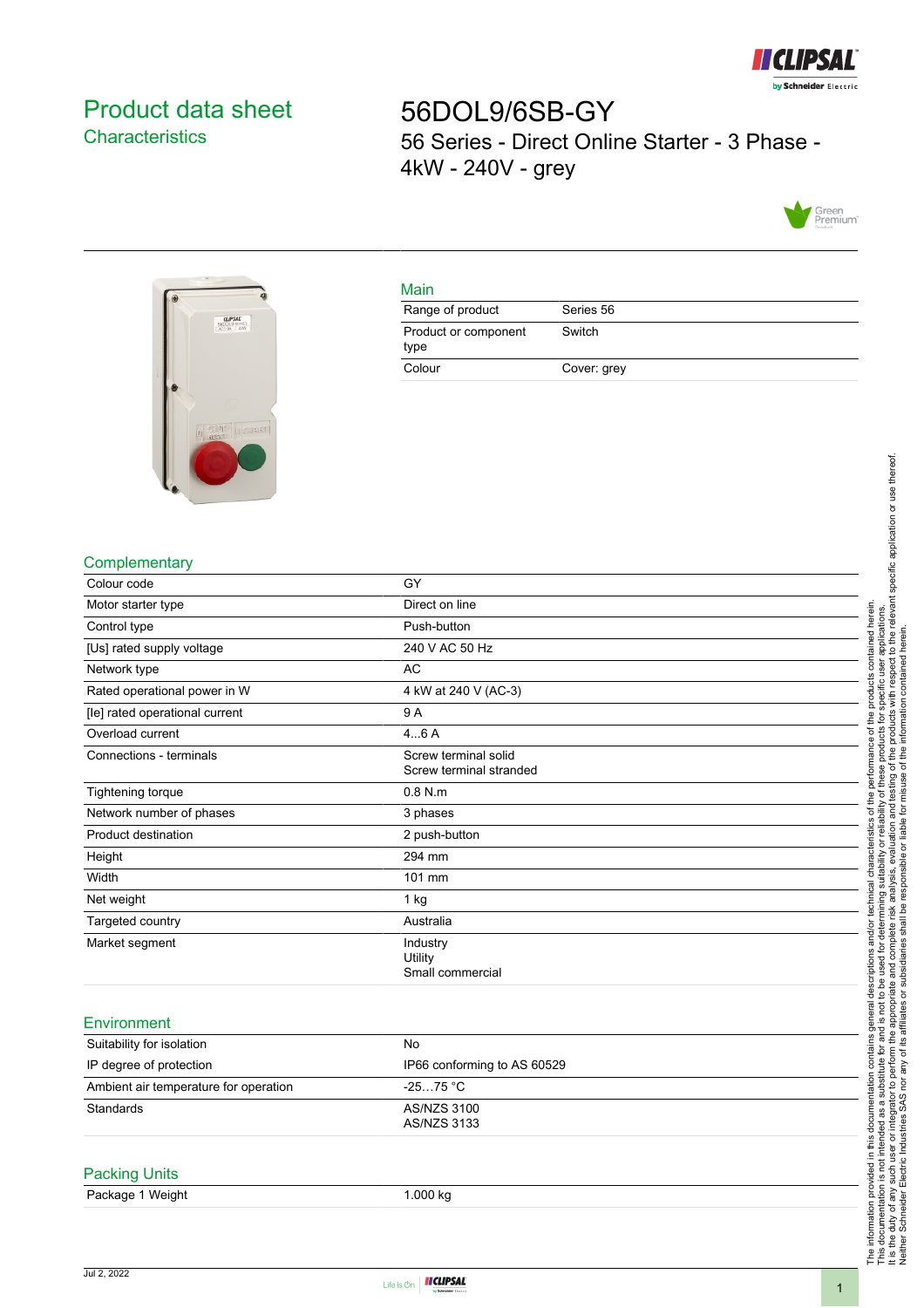

# <span id="page-0-0"></span>Product data sheet **Characteristics**

56DOL9/6SB-GY 56 Series - Direct Online Starter - 3 Phase - 4kW - 240V - grey





Main

| Range of product             | Series 56   |
|------------------------------|-------------|
| Product or component<br>type | Switch      |
| Colour                       | Cover: grey |

# **Complementary**

| Colour code                    | GY                                              |
|--------------------------------|-------------------------------------------------|
| Motor starter type             | Direct on line                                  |
| Control type                   | Push-button                                     |
| [Us] rated supply voltage      | 240 V AC 50 Hz                                  |
| Network type                   | AC                                              |
| Rated operational power in W   | 4 kW at 240 V (AC-3)                            |
| [le] rated operational current | 9A                                              |
| Overload current               | 46A                                             |
| Connections - terminals        | Screw terminal solid<br>Screw terminal stranded |
| <b>Tightening torque</b>       | $0.8$ N.m.                                      |
| Network number of phases       | 3 phases                                        |
| Product destination            | 2 push-button                                   |
| Height                         | 294 mm                                          |
| Width                          | 101 mm                                          |
| Net weight                     | 1 kg                                            |
| Targeted country               | Australia                                       |
| Market segment                 | Industry<br>Utility<br>Small commercial         |
|                                |                                                 |

## **Environment**

| Suitability for isolation             | No                          |  |
|---------------------------------------|-----------------------------|--|
| IP degree of protection               | IP66 conforming to AS 60529 |  |
| Ambient air temperature for operation | -25…75 °C                   |  |
| Standards                             | AS/NZS 3100<br>AS/NZS 3133  |  |

### Packing Units

| Package 1 Weight | 1.000 kg |
|------------------|----------|